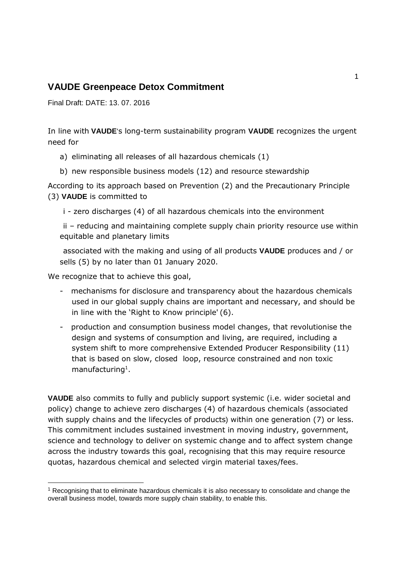### **VAUDE Greenpeace Detox Commitment**

Final Draft: DATE: 13. 07. 2016

In line with **VAUDE**'s long-term sustainability program **VAUDE** recognizes the urgent need for

- a) eliminating all releases of all hazardous chemicals (1)
- b) new responsible business models (12) and resource stewardship

According to its approach based on Prevention (2) and the Precautionary Principle (3) **VAUDE** is committed to

i - zero discharges (4) of all hazardous chemicals into the environment

ii – reducing and maintaining complete supply chain priority resource use within equitable and planetary limits

associated with the making and using of all products **VAUDE** produces and / or sells (5) by no later than 01 January 2020.

We recognize that to achieve this goal,

1

- mechanisms for disclosure and transparency about the hazardous chemicals used in our global supply chains are important and necessary, and should be in line with the 'Right to Know principle' (6).
- production and consumption business model changes, that revolutionise the design and systems of consumption and living, are required, including a system shift to more comprehensive Extended Producer Responsibility (11) that is based on slow, closed loop, resource constrained and non toxic manufacturing<sup>1</sup>.

**VAUDE** also commits to fully and publicly support systemic (i.e. wider societal and policy) change to achieve zero discharges (4) of hazardous chemicals (associated with supply chains and the lifecycles of products) within one generation (7) or less. This commitment includes sustained investment in moving industry, government, science and technology to deliver on systemic change and to affect system change across the industry towards this goal, recognising that this may require resource quotas, hazardous chemical and selected virgin material taxes/fees.

<sup>&</sup>lt;sup>1</sup> Recognising that to eliminate hazardous chemicals it is also necessary to consolidate and change the overall business model, towards more supply chain stability, to enable this.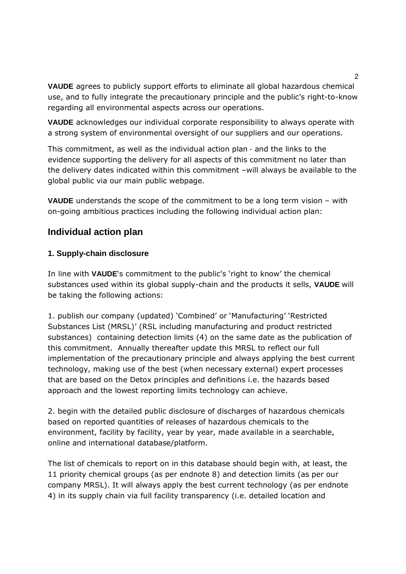**VAUDE** agrees to publicly support efforts to eliminate all global hazardous chemical use, and to fully integrate the precautionary principle and the public's right-to-know regarding all environmental aspects across our operations.

**VAUDE** acknowledges our individual corporate responsibility to always operate with a strong system of environmental oversight of our suppliers and our operations.

This commitment, as well as the individual action plan - and the links to the evidence supporting the delivery for all aspects of this commitment no later than the delivery dates indicated within this commitment –will always be available to the global public via our main public webpage.

**VAUDE** understands the scope of the commitment to be a long term vision – with on-going ambitious practices including the following individual action plan:

## **Individual action plan**

#### **1. Supply-chain disclosure**

In line with **VAUDE**'s commitment to the public's 'right to know' the chemical substances used within its global supply-chain and the products it sells, **VAUDE** will be taking the following actions:

1. publish our company (updated) 'Combined' or 'Manufacturing' 'Restricted Substances List (MRSL)' (RSL including manufacturing and product restricted substances) containing detection limits (4) on the same date as the publication of this commitment. Annually thereafter update this MRSL to reflect our full implementation of the precautionary principle and always applying the best current technology, making use of the best (when necessary external) expert processes that are based on the Detox principles and definitions i.e. the hazards based approach and the lowest reporting limits technology can achieve.

2. begin with the detailed public disclosure of discharges of hazardous chemicals based on reported quantities of releases of hazardous chemicals to the environment, facility by facility, year by year, made available in a searchable, online and international database/platform.

The list of chemicals to report on in this database should begin with, at least, the 11 priority chemical groups (as per endnote 8) and detection limits (as per our company MRSL). It will always apply the best current technology (as per endnote 4) in its supply chain via full facility transparency (i.e. detailed location and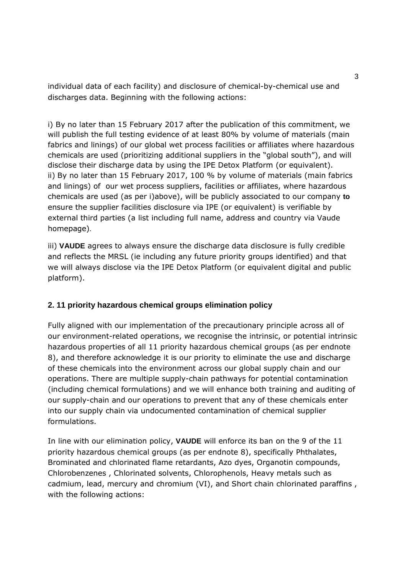individual data of each facility) and disclosure of chemical-by-chemical use and discharges data. Beginning with the following actions:

i) By no later than 15 February 2017 after the publication of this commitment, we will publish the full testing evidence of at least 80% by volume of materials (main fabrics and linings) of our global wet process facilities or affiliates where hazardous chemicals are used (prioritizing additional suppliers in the "global south"), and will disclose their discharge data by using the IPE Detox Platform (or equivalent). ii) By no later than 15 February 2017, 100 % by volume of materials (main fabrics and linings) of our wet process suppliers, facilities or affiliates, where hazardous chemicals are used (as per i)above), will be publicly associated to our company **to** ensure the supplier facilities disclosure via IPE (or equivalent) is verifiable by external third parties (a list including full name, address and country via Vaude homepage).

iii) **VAUDE** agrees to always ensure the discharge data disclosure is fully credible and reflects the MRSL (ie including any future priority groups identified) and that we will always disclose via the IPE Detox Platform (or equivalent digital and public platform).

#### **2. 11 priority hazardous chemical groups elimination policy**

Fully aligned with our implementation of the precautionary principle across all of our environment-related operations, we recognise the intrinsic, or potential intrinsic hazardous properties of all 11 priority hazardous chemical groups (as per endnote 8), and therefore acknowledge it is our priority to eliminate the use and discharge of these chemicals into the environment across our global supply chain and our operations. There are multiple supply-chain pathways for potential contamination (including chemical formulations) and we will enhance both training and auditing of our supply-chain and our operations to prevent that any of these chemicals enter into our supply chain via undocumented contamination of chemical supplier formulations.

In line with our elimination policy, **VAUDE** will enforce its ban on the 9 of the 11 priority hazardous chemical groups (as per endnote 8), specifically Phthalates, Brominated and chlorinated flame retardants, Azo dyes, Organotin compounds, Chlorobenzenes , Chlorinated solvents, Chlorophenols, Heavy metals such as cadmium, lead, mercury and chromium (VI), and Short chain chlorinated paraffins , with the following actions: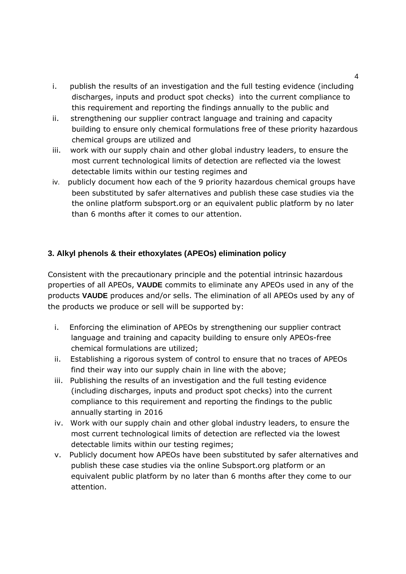- i. publish the results of an investigation and the full testing evidence (including discharges, inputs and product spot checks) into the current compliance to this requirement and reporting the findings annually to the public and
- ii. strengthening our supplier contract language and training and capacity building to ensure only chemical formulations free of these priority hazardous chemical groups are utilized and
- iii. work with our supply chain and other global industry leaders, to ensure the most current technological limits of detection are reflected via the lowest detectable limits within our testing regimes and
- iv. publicly document how each of the 9 priority hazardous chemical groups have been substituted by safer alternatives and publish these case studies via the the online platform subsport.org or an equivalent public platform by no later than 6 months after it comes to our attention.

## **3. Alkyl phenols & their ethoxylates (APEOs) elimination policy**

Consistent with the precautionary principle and the potential intrinsic hazardous properties of all APEOs, **VAUDE** commits to eliminate any APEOs used in any of the products **VAUDE** produces and/or sells. The elimination of all APEOs used by any of the products we produce or sell will be supported by:

- i. Enforcing the elimination of APEOs by strengthening our supplier contract language and training and capacity building to ensure only APEOs-free chemical formulations are utilized;
- ii. Establishing a rigorous system of control to ensure that no traces of APEOs find their way into our supply chain in line with the above;
- iii. Publishing the results of an investigation and the full testing evidence (including discharges, inputs and product spot checks) into the current compliance to this requirement and reporting the findings to the public annually starting in 2016
- iv. Work with our supply chain and other global industry leaders, to ensure the most current technological limits of detection are reflected via the lowest detectable limits within our testing regimes;
- v. Publicly document how APEOs have been substituted by safer alternatives and publish these case studies via the online Subsport.org platform or an equivalent public platform by no later than 6 months after they come to our attention.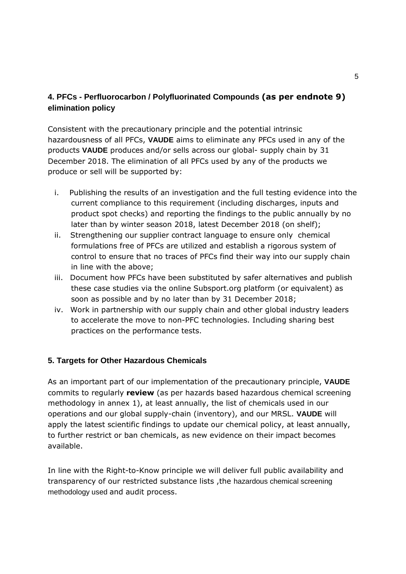# **4. PFCs - Perfluorocarbon / Polyfluorinated Compounds (as per endnote 9) elimination policy**

Consistent with the precautionary principle and the potential intrinsic hazardousness of all PFCs, **VAUDE** aims to eliminate any PFCs used in any of the products **VAUDE** produces and/or sells across our global- supply chain by 31 December 2018. The elimination of all PFCs used by any of the products we produce or sell will be supported by:

- i. Publishing the results of an investigation and the full testing evidence into the current compliance to this requirement (including discharges, inputs and product spot checks) and reporting the findings to the public annually by no later than by winter season 2018, latest December 2018 (on shelf);
- ii. Strengthening our supplier contract language to ensure only chemical formulations free of PFCs are utilized and establish a rigorous system of control to ensure that no traces of PFCs find their way into our supply chain in line with the above;
- iii. Document how PFCs have been substituted by safer alternatives and publish these case studies via the online Subsport.org platform (or equivalent) as soon as possible and by no later than by 31 December 2018;
- iv. Work in partnership with our supply chain and other global industry leaders to accelerate the move to non-PFC technologies. Including sharing best practices on the performance tests.

#### **5. Targets for Other Hazardous Chemicals**

As an important part of our implementation of the precautionary principle, **VAUDE**  commits to regularly **review** (as per hazards based hazardous chemical screening methodology in annex 1), at least annually, the list of chemicals used in our operations and our global supply-chain (inventory), and our MRSL. **VAUDE** will apply the latest scientific findings to update our chemical policy, at least annually, to further restrict or ban chemicals, as new evidence on their impact becomes available.

In line with the Right-to-Know principle we will deliver full public availability and transparency of our restricted substance lists, the hazardous chemical screening methodology used and audit process.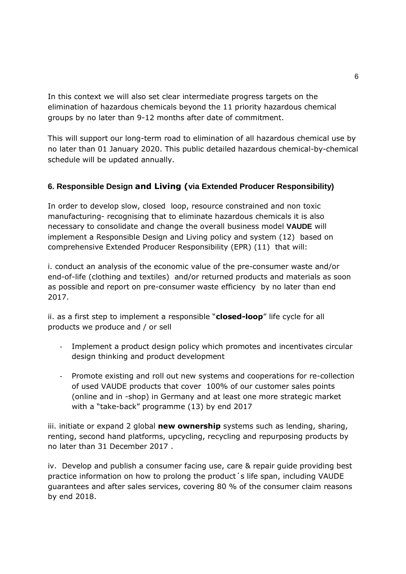In this context we will also set clear intermediate progress targets on the elimination of hazardous chemicals beyond the 11 priority hazardous chemical groups by no later than 9-12 months after date of commitment.

This will support our long-term road to elimination of all hazardous chemical use by no later than 01 January 2020. This public detailed hazardous chemical-by-chemical schedule will be updated annually.

## **6. Responsible Design and Living (via Extended Producer Responsibility)**

In order to develop slow, closed loop, resource constrained and non toxic manufacturing- recognising that to eliminate hazardous chemicals it is also necessary to consolidate and change the overall business model **VAUDE** will implement a Responsible Design and Living policy and system (12) based on comprehensive Extended Producer Responsibility (EPR) (11) that will:

i. conduct an analysis of the economic value of the pre-consumer waste and/or end-of-life (clothing and textiles) and/or returned products and materials as soon as possible and report on pre-consumer waste efficiency by no later than end 2017.

ii. as a first step to implement a responsible "**closed-loop**" life cycle for all products we produce and / or sell

- Implement a product design policy which promotes and incentivates circular design thinking and product development
- Promote existing and roll out new systems and cooperations for re-collection of used VAUDE products that cover 100% of our customer sales points (online and in -shop) in Germany and at least one more strategic market with a "take-back" programme (13) by end 2017

iii. initiate or expand 2 global **new ownership** systems such as lending, sharing, renting, second hand platforms, upcycling, recycling and repurposing products by no later than 31 December 2017 .

iv. Develop and publish a consumer facing use, care & repair guide providing best practice information on how to prolong the product´s life span, including VAUDE guarantees and after sales services, covering 80 % of the consumer claim reasons by end 2018.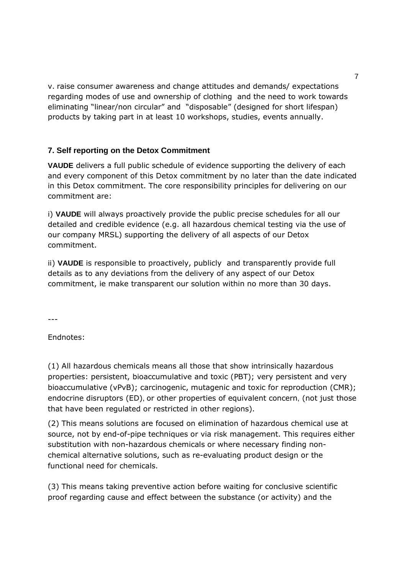v. raise consumer awareness and change attitudes and demands/ expectations regarding modes of use and ownership of clothing and the need to work towards eliminating "linear/non circular" and "disposable" (designed for short lifespan) products by taking part in at least 10 workshops, studies, events annually.

#### **7. Self reporting on the Detox Commitment**

**VAUDE** delivers a full public schedule of evidence supporting the delivery of each and every component of this Detox commitment by no later than the date indicated in this Detox commitment. The core responsibility principles for delivering on our commitment are:

i) **VAUDE** will always proactively provide the public precise schedules for all our detailed and credible evidence (e.g. all hazardous chemical testing via the use of our company MRSL) supporting the delivery of all aspects of our Detox commitment.

ii) **VAUDE** is responsible to proactively, publicly and transparently provide full details as to any deviations from the delivery of any aspect of our Detox commitment, ie make transparent our solution within no more than 30 days.

 $---$ 

Endnotes:

(1) All hazardous chemicals means all those that show intrinsically hazardous properties: persistent, bioaccumulative and toxic (PBT); very persistent and very bioaccumulative (vPvB); carcinogenic, mutagenic and toxic for reproduction (CMR); endocrine disruptors (ED), or other properties of equivalent concern, (not just those that have been regulated or restricted in other regions).

(2) This means solutions are focused on elimination of hazardous chemical use at source, not by end-of-pipe techniques or via risk management. This requires either substitution with non-hazardous chemicals or where necessary finding nonchemical alternative solutions, such as re-evaluating product design or the functional need for chemicals.

(3) This means taking preventive action before waiting for conclusive scientific proof regarding cause and effect between the substance (or activity) and the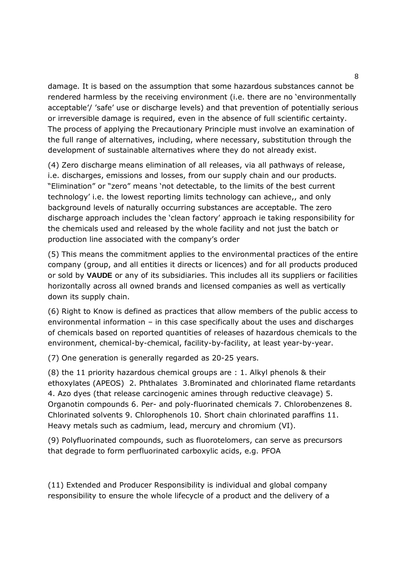damage. It is based on the assumption that some hazardous substances cannot be rendered harmless by the receiving environment (i.e. there are no 'environmentally acceptable'/ 'safe' use or discharge levels) and that prevention of potentially serious or irreversible damage is required, even in the absence of full scientific certainty. The process of applying the Precautionary Principle must involve an examination of the full range of alternatives, including, where necessary, substitution through the development of sustainable alternatives where they do not already exist.

(4) Zero discharge means elimination of all releases, via all pathways of release, i.e. discharges, emissions and losses, from our supply chain and our products. "Elimination" or "zero" means 'not detectable, to the limits of the best current technology' i.e. the lowest reporting limits technology can achieve,, and only background levels of naturally occurring substances are acceptable. The zero discharge approach includes the 'clean factory' approach ie taking responsibility for the chemicals used and released by the whole facility and not just the batch or production line associated with the company's order

(5) This means the commitment applies to the environmental practices of the entire company (group, and all entities it directs or licences) and for all products produced or sold by **VAUDE** or any of its subsidiaries. This includes all its suppliers or facilities horizontally across all owned brands and licensed companies as well as vertically down its supply chain.

(6) Right to Know is defined as practices that allow members of the public access to environmental information – in this case specifically about the uses and discharges of chemicals based on reported quantities of releases of hazardous chemicals to the environment, chemical-by-chemical, facility-by-facility, at least year-by-year.

(7) One generation is generally regarded as 20-25 years.

(8) the 11 priority hazardous chemical groups are : 1. Alkyl phenols & their ethoxylates (APEOS) 2. Phthalates 3.Brominated and chlorinated flame retardants 4. Azo dyes (that release carcinogenic amines through reductive cleavage) 5. Organotin compounds 6. Per- and poly-fluorinated chemicals 7. Chlorobenzenes 8. Chlorinated solvents 9. Chlorophenols 10. Short chain chlorinated paraffins 11. Heavy metals such as cadmium, lead, mercury and chromium (VI).

(9) Polyfluorinated compounds, such as fluorotelomers, can serve as precursors that degrade to form perfluorinated carboxylic acids, e.g. PFOA

(11) Extended and Producer Responsibility is individual and global company responsibility to ensure the whole lifecycle of a product and the delivery of a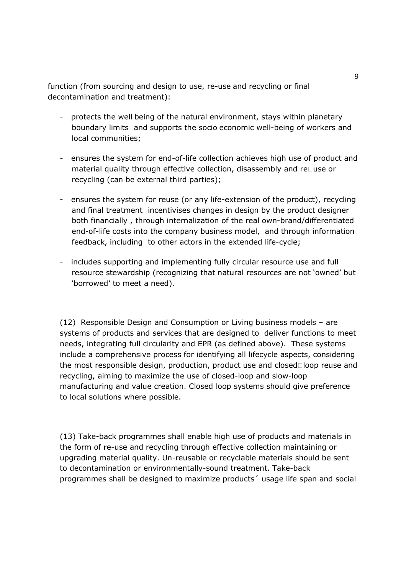function (from sourcing and design to use, re-use and recycling or final decontamination and treatment):

- protects the well being of the natural environment, stays within planetary boundary limits and supports the socio economic well-being of workers and local communities;
- ensures the system for end-of-life collection achieves high use of product and material quality through effective collection, disassembly and re use or recycling (can be external third parties);
- ensures the system for reuse (or any life-extension of the product), recycling and final treatment incentivises changes in design by the product designer both financially , through internalization of the real own-brand/differentiated end-of-life costs into the company business model, and through information feedback, including to other actors in the extended life-cycle;
- includes supporting and implementing fully circular resource use and full resource stewardship (recognizing that natural resources are not 'owned' but 'borrowed' to meet a need).

(12) Responsible Design and Consumption or Living business models – are systems of products and services that are designed to deliver functions to meet needs, integrating full circularity and EPR (as defined above). These systems include a comprehensive process for identifying all lifecycle aspects, considering the most responsible design, production, product use and closed loop reuse and recycling, aiming to maximize the use of closed-loop and slow-loop manufacturing and value creation. Closed loop systems should give preference to local solutions where possible.

(13) Take-back programmes shall enable high use of products and materials in the form of re-use and recycling through effective collection maintaining or upgrading material quality. Un-reusable or recyclable materials should be sent to decontamination or environmentally-sound treatment. Take-back programmes shall be designed to maximize products´ usage life span and social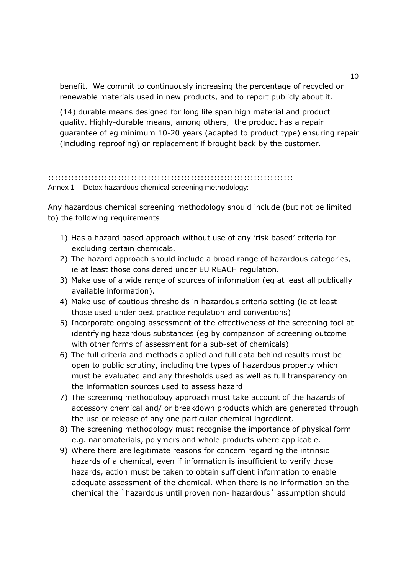benefit. We commit to continuously increasing the percentage of recycled or renewable materials used in new products, and to report publicly about it.

(14) durable means designed for long life span high material and product quality. Highly-durable means, among others, the product has a repair guarantee of eg minimum 10-20 years (adapted to product type) ensuring repair (including reproofing) or replacement if brought back by the customer.

:::::::::::::::::::::::::::::::::::::::::::::::::::::::::::::::::::::::::: Annex 1 - Detox hazardous chemical screening methodology:

Any hazardous chemical screening methodology should include (but not be limited to) the following requirements

- 1) Has a hazard based approach without use of any 'risk based' criteria for excluding certain chemicals.
- 2) The hazard approach should include a broad range of hazardous categories, ie at least those considered under EU REACH regulation.
- 3) Make use of a wide range of sources of information (eg at least all publically available information).
- 4) Make use of cautious thresholds in hazardous criteria setting (ie at least those used under best practice regulation and conventions)
- 5) Incorporate ongoing assessment of the effectiveness of the screening tool at identifying hazardous substances (eg by comparison of screening outcome with other forms of assessment for a sub-set of chemicals)
- 6) The full criteria and methods applied and full data behind results must be open to public scrutiny, including the types of hazardous property which must be evaluated and any thresholds used as well as full transparency on the information sources used to assess hazard
- 7) The screening methodology approach must take account of the hazards of accessory chemical and/ or breakdown products which are generated through the use or release of any one particular chemical ingredient.
- 8) The screening methodology must recognise the importance of physical form e.g. nanomaterials, polymers and whole products where applicable.
- 9) Where there are legitimate reasons for concern regarding the intrinsic hazards of a chemical, even if information is insufficient to verify those hazards, action must be taken to obtain sufficient information to enable adequate assessment of the chemical. When there is no information on the chemical the `hazardous until proven non- hazardous´ assumption should